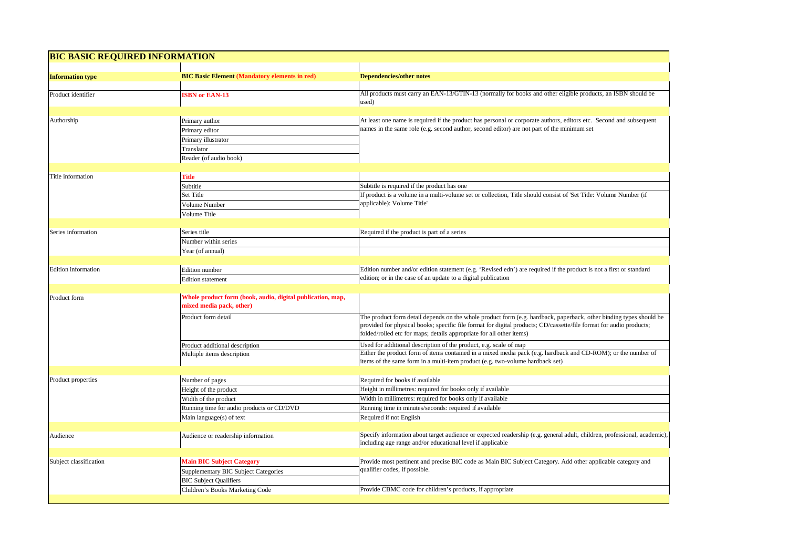| <b>Information type</b> | <b>BIC Basic Element (Mandatory elements in red)</b>                                   | <b>Dependencies/other notes</b>                                                                                                                                                                                                                                                                                   |
|-------------------------|----------------------------------------------------------------------------------------|-------------------------------------------------------------------------------------------------------------------------------------------------------------------------------------------------------------------------------------------------------------------------------------------------------------------|
| Product identifier      | <b>ISBN or EAN-13</b>                                                                  | All products must carry an EAN-13/GTIN-13 (normally for books and other eligible products, an ISBN should be<br>used)                                                                                                                                                                                             |
| Authorship              | Primary author                                                                         | At least one name is required if the product has personal or corporate authors, editors etc. Second and subsequent                                                                                                                                                                                                |
|                         | Primary editor                                                                         | names in the same role (e.g. second author, second editor) are not part of the minimum set                                                                                                                                                                                                                        |
|                         | Primary illustrator                                                                    |                                                                                                                                                                                                                                                                                                                   |
|                         | Translator                                                                             |                                                                                                                                                                                                                                                                                                                   |
|                         | Reader (of audio book)                                                                 |                                                                                                                                                                                                                                                                                                                   |
|                         |                                                                                        |                                                                                                                                                                                                                                                                                                                   |
| Title information       | <b>Title</b>                                                                           |                                                                                                                                                                                                                                                                                                                   |
|                         | Subtitle                                                                               | Subtitle is required if the product has one                                                                                                                                                                                                                                                                       |
|                         | Set Title                                                                              | If product is a volume in a multi-volume set or collection, Title should consist of 'Set Title: Volume Number (if<br>applicable): Volume Title'                                                                                                                                                                   |
|                         | Volume Number                                                                          |                                                                                                                                                                                                                                                                                                                   |
|                         | Volume Title                                                                           |                                                                                                                                                                                                                                                                                                                   |
| Series information      | Series title                                                                           | Required if the product is part of a series                                                                                                                                                                                                                                                                       |
|                         | Number within series                                                                   |                                                                                                                                                                                                                                                                                                                   |
|                         | Year (of annual)                                                                       |                                                                                                                                                                                                                                                                                                                   |
|                         |                                                                                        |                                                                                                                                                                                                                                                                                                                   |
| Edition information     | Edition number                                                                         | Edition number and/or edition statement (e.g. 'Revised edn') are required if the product is not a first or standard                                                                                                                                                                                               |
|                         | <b>Edition</b> statement                                                               | edition; or in the case of an update to a digital publication                                                                                                                                                                                                                                                     |
|                         |                                                                                        |                                                                                                                                                                                                                                                                                                                   |
| Product form            | Whole product form (book, audio, digital publication, map,<br>mixed media pack, other) |                                                                                                                                                                                                                                                                                                                   |
|                         | Product form detail                                                                    | The product form detail depends on the whole product form (e.g. hardback, paperback, other binding types should be<br>provided for physical books; specific file format for digital products; CD/cassette/file format for audio products;<br>folded/rolled etc for maps; details appropriate for all other items) |
|                         | Product additional description                                                         | Used for additional description of the product, e.g. scale of map                                                                                                                                                                                                                                                 |
|                         | Multiple items description                                                             | Either the product form of items contained in a mixed media pack (e.g. hardback and CD-ROM); or the number of<br>items of the same form in a multi-item product (e.g. two-volume hardback set)                                                                                                                    |
|                         |                                                                                        | Required for books if available                                                                                                                                                                                                                                                                                   |
| Product properties      | Number of pages<br>Height of the product                                               | Height in millimetres: required for books only if available                                                                                                                                                                                                                                                       |
|                         | Width of the product                                                                   | Width in millimetres: required for books only if available                                                                                                                                                                                                                                                        |
|                         | Running time for audio products or CD/DVD                                              | Running time in minutes/seconds: required if available                                                                                                                                                                                                                                                            |
|                         | Main language(s) of text                                                               | Required if not English                                                                                                                                                                                                                                                                                           |
|                         |                                                                                        |                                                                                                                                                                                                                                                                                                                   |
|                         | Audience or readership information                                                     | Specify information about target audience or expected readership (e.g. general adult, children, professional, academic)<br>including age range and/or educational level if applicable                                                                                                                             |
| Audience                |                                                                                        |                                                                                                                                                                                                                                                                                                                   |
|                         |                                                                                        |                                                                                                                                                                                                                                                                                                                   |
| Subject classification  | <b>Main BIC Subject Category</b>                                                       | Provide most pertinent and precise BIC code as Main BIC Subject Category. Add other applicable category and<br>qualifier codes, if possible.                                                                                                                                                                      |
|                         | Supplementary BIC Subject Categories<br><b>BIC Subject Qualifiers</b>                  |                                                                                                                                                                                                                                                                                                                   |